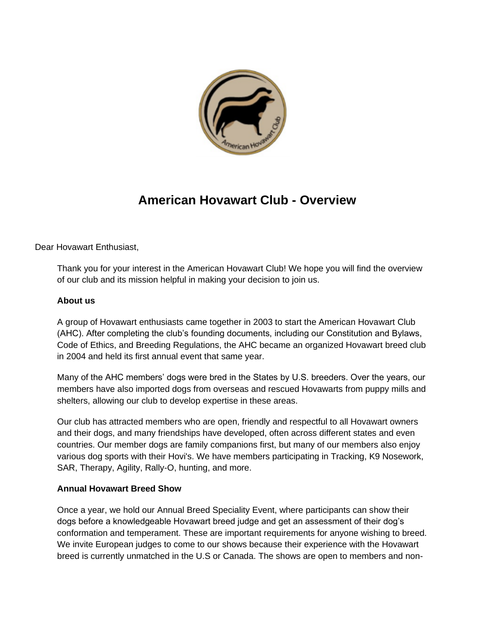

# **American Hovawart Club - Overview**

Dear Hovawart Enthusiast,

Thank you for your interest in the American Hovawart Club! We hope you will find the overview of our club and its mission helpful in making your decision to join us.

### **About us**

A group of Hovawart enthusiasts came together in 2003 to start the American Hovawart Club (AHC). After completing the club's founding documents, including our Constitution and Bylaws, Code of Ethics, and Breeding Regulations, the AHC became an organized Hovawart breed club in 2004 and held its first annual event that same year.

Many of the AHC members' dogs were bred in the States by U.S. breeders. Over the years, our members have also imported dogs from overseas and rescued Hovawarts from puppy mills and shelters, allowing our club to develop expertise in these areas.

Our club has attracted members who are open, friendly and respectful to all Hovawart owners and their dogs, and many friendships have developed, often across different states and even countries. Our member dogs are family companions first, but many of our members also enjoy various dog sports with their Hovi's. We have members participating in Tracking, K9 Nosework, SAR, Therapy, Agility, Rally-O, hunting, and more.

#### **Annual Hovawart Breed Show**

Once a year, we hold our Annual Breed Speciality Event, where participants can show their dogs before a knowledgeable Hovawart breed judge and get an assessment of their dog's conformation and temperament. These are important requirements for anyone wishing to breed. We invite European judges to come to our shows because their experience with the Hovawart breed is currently unmatched in the U.S or Canada. The shows are open to members and non-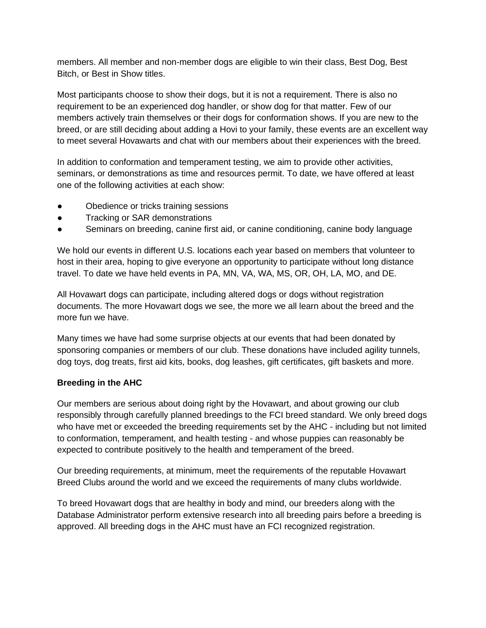members. All member and non-member dogs are eligible to win their class, Best Dog, Best Bitch, or Best in Show titles.

Most participants choose to show their dogs, but it is not a requirement. There is also no requirement to be an experienced dog handler, or show dog for that matter. Few of our members actively train themselves or their dogs for conformation shows. If you are new to the breed, or are still deciding about adding a Hovi to your family, these events are an excellent way to meet several Hovawarts and chat with our members about their experiences with the breed.

In addition to conformation and temperament testing, we aim to provide other activities, seminars, or demonstrations as time and resources permit. To date, we have offered at least one of the following activities at each show:

- Obedience or tricks training sessions
- Tracking or SAR demonstrations
- Seminars on breeding, canine first aid, or canine conditioning, canine body language

We hold our events in different U.S. locations each year based on members that volunteer to host in their area, hoping to give everyone an opportunity to participate without long distance travel. To date we have held events in PA, MN, VA, WA, MS, OR, OH, LA, MO, and DE.

All Hovawart dogs can participate, including altered dogs or dogs without registration documents. The more Hovawart dogs we see, the more we all learn about the breed and the more fun we have.

Many times we have had some surprise objects at our events that had been donated by sponsoring companies or members of our club. These donations have included agility tunnels, dog toys, dog treats, first aid kits, books, dog leashes, gift certificates, gift baskets and more.

#### **Breeding in the AHC**

Our members are serious about doing right by the Hovawart, and about growing our club responsibly through carefully planned breedings to the FCI breed standard. We only breed dogs who have met or exceeded the breeding requirements set by the AHC - including but not limited to conformation, temperament, and health testing - and whose puppies can reasonably be expected to contribute positively to the health and temperament of the breed.

Our breeding requirements, at minimum, meet the requirements of the reputable Hovawart Breed Clubs around the world and we exceed the requirements of many clubs worldwide.

To breed Hovawart dogs that are healthy in body and mind, our breeders along with the Database Administrator perform extensive research into all breeding pairs before a breeding is approved. All breeding dogs in the AHC must have an FCI recognized registration.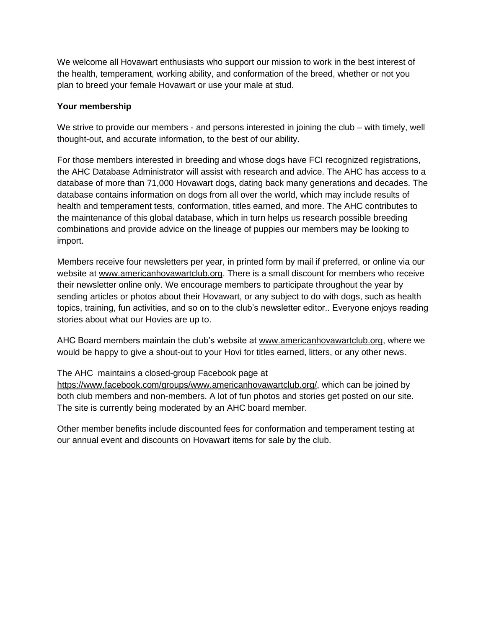We welcome all Hovawart enthusiasts who support our mission to work in the best interest of the health, temperament, working ability, and conformation of the breed, whether or not you plan to breed your female Hovawart or use your male at stud.

### **Your membership**

We strive to provide our members - and persons interested in joining the club – with timely, well thought-out, and accurate information, to the best of our ability.

For those members interested in breeding and whose dogs have FCI recognized registrations, the AHC Database Administrator will assist with research and advice. The AHC has access to a database of more than 71,000 Hovawart dogs, dating back many generations and decades. The database contains information on dogs from all over the world, which may include results of health and temperament tests, conformation, titles earned, and more. The AHC contributes to the maintenance of this global database, which in turn helps us research possible breeding combinations and provide advice on the lineage of puppies our members may be looking to import.

Members receive four newsletters per year, in printed form by mail if preferred, or online via our website a[t](http://www.americanhovawartclub.org/) [www.americanhovawartclub.org.](http://www.americanhovawartclub.org/) There is a small discount for members who receive their newsletter online only. We encourage members to participate throughout the year by sending articles or photos about their Hovawart, or any subject to do with dogs, such as health topics, training, fun activities, and so on to the club's newsletter editor.. Everyone enjoys reading stories about what our Hovies are up to.

AHC Board members maintain the club's website at [www.americanhovawartclub.org,](http://www.americanhovawartclub.org/) where we would be happy to give a shout-out to your Hovi for titles earned, litters, or any other news.

### The AHC maintains a closed-group Facebook page a[t](https://www.facebook.com/groups/www.americanhovawartclub.org/)

[https://www.facebook.com/groups/www.americanhovawartclub.org/,](https://www.facebook.com/groups/www.americanhovawartclub.org/) which can be joined by both club members and non-members. A lot of fun photos and stories get posted on our site. The site is currently being moderated by an AHC board member.

Other member benefits include discounted fees for conformation and temperament testing at our annual event and discounts on Hovawart items for sale by the club.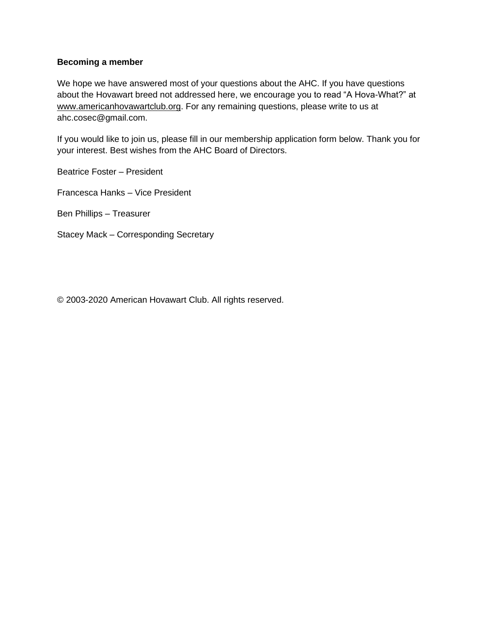#### **Becoming a member**

We hope we have answered most of your questions about the AHC. If you have questions about the Hovawart breed not addressed here, we encourage you to read "A Hova-What?" a[t](http://www.americanhovawartclub.org/) [www.americanhovawartclub.org.](http://www.americanhovawartclub.org/) For any remaining questions, please write to us at ahc.cosec@gmail.com.

If you would like to join us, please fill in our membership application form below. Thank you for your interest. Best wishes from the AHC Board of Directors.

Beatrice Foster – President

Francesca Hanks – Vice President

Ben Phillips – Treasurer

Stacey Mack – Corresponding Secretary

© 2003-2020 American Hovawart Club. All rights reserved.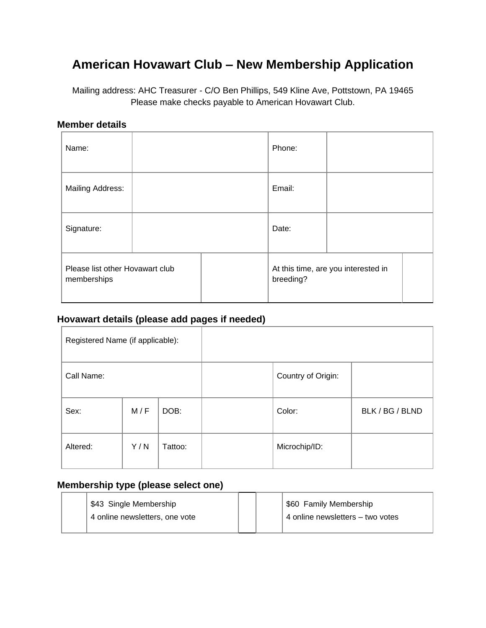# **American Hovawart Club – New Membership Application**

Mailing address: AHC Treasurer - C/O Ben Phillips, 549 Kline Ave, Pottstown, PA 19465 Please make checks payable to American Hovawart Club.

### **Member details**

| Name:                                          |  |  | Phone:    |                                     |
|------------------------------------------------|--|--|-----------|-------------------------------------|
| <b>Mailing Address:</b>                        |  |  | Email:    |                                     |
| Signature:                                     |  |  | Date:     |                                     |
| Please list other Hovawart club<br>memberships |  |  | breeding? | At this time, are you interested in |

### **Hovawart details (please add pages if needed)**

| Registered Name (if applicable): |     |         |                    |                 |
|----------------------------------|-----|---------|--------------------|-----------------|
| Call Name:                       |     |         | Country of Origin: |                 |
| Sex:                             | M/F | DOB:    | Color:             | BLK / BG / BLND |
| Altered:                         | Y/N | Tattoo: | Microchip/ID:      |                 |

### **Membership type (please select one)**

|  | \$43 Single Membership         |  | \$60 Family Membership           |
|--|--------------------------------|--|----------------------------------|
|  | 4 online newsletters, one vote |  | 4 online newsletters – two votes |